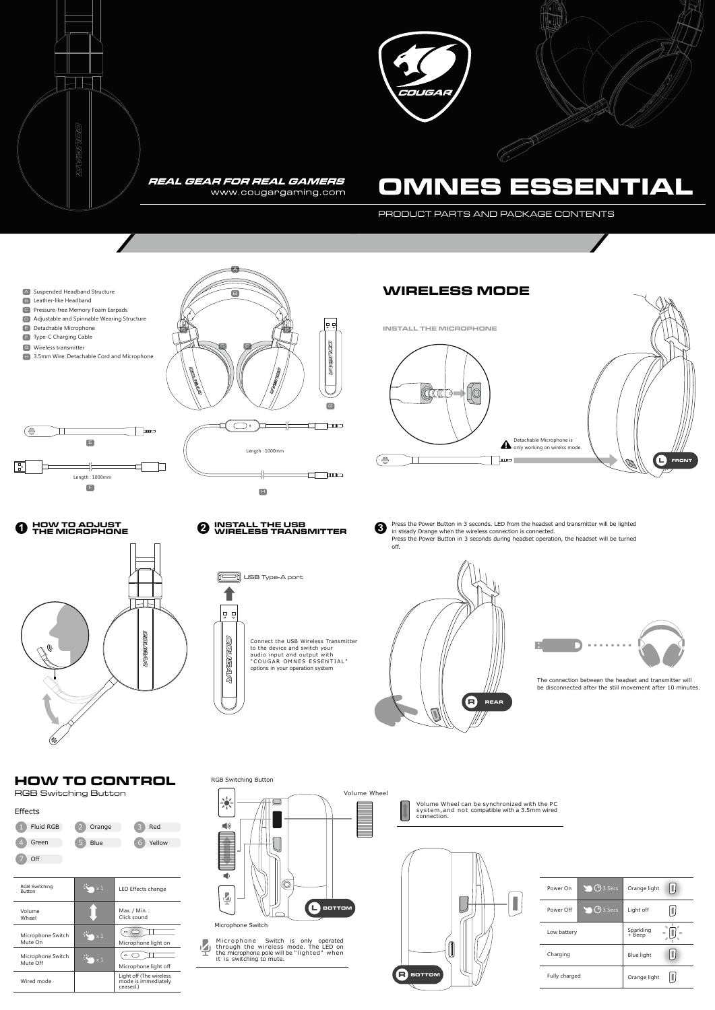PRODUCT PARTS AND PACKAGE CONTENTS

The connection between the headset and transmitter will be disconnected after the still movement after 10 minutes.

 $\mathbf{L}$ 

Í

Volume Wheel can be synchronized with the PC system,and not compatible with a 3.5mm wired connection.

## **HOW TO CONTROL**













RGB Switching Button

░

 $\Box$ 

 $\blacklozenge$ 

Ł